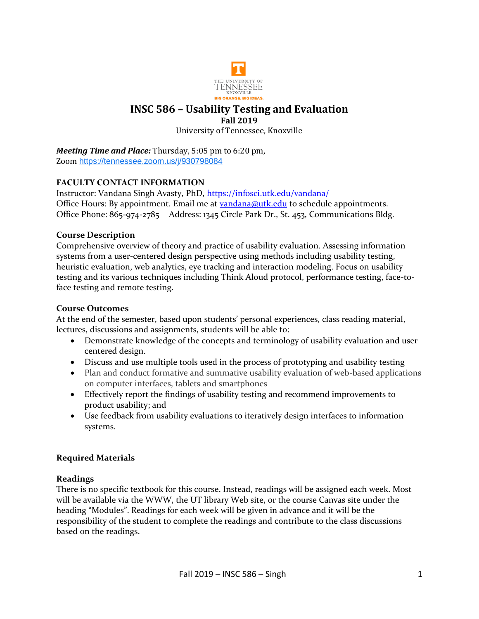

### **INSC 586 – Usability Testing and Evaluation Fall 2019**

University of Tennessee, Knoxville

*Meeting Time and Place:* Thursday, 5:05 pm to 6:20 pm, Zoom <https://tennessee.zoom.us/j/930798084>

## **FACULTY CONTACT INFORMATION**

Instructor: Vandana Singh Avasty, PhD,<https://infosci.utk.edu/vandana/> Office Hours: By appointment. Email me at [vandana@utk.edu](mailto:vandana@utk.edu) to schedule appointments. Office Phone: 865-974-2785 Address: 1345 Circle Park Dr., St. 453, Communications Bldg.

### **Course Description**

Comprehensive overview of theory and practice of usability evaluation. Assessing information systems from a user-centered design perspective using methods including usability testing, heuristic evaluation, web analytics, eye tracking and interaction modeling. Focus on usability testing and its various techniques including Think Aloud protocol, performance testing, face-toface testing and remote testing.

### **Course Outcomes**

At the end of the semester, based upon students' personal experiences, class reading material, lectures, discussions and assignments, students will be able to:

- Demonstrate knowledge of the concepts and terminology of usability evaluation and user centered design.
- Discuss and use multiple tools used in the process of prototyping and usability testing
- Plan and conduct formative and summative usability evaluation of web-based applications on computer interfaces, tablets and smartphones
- Effectively report the findings of usability testing and recommend improvements to product usability; and
- Use feedback from usability evaluations to iteratively design interfaces to information systems.

# **Required Materials**

### **Readings**

There is no specific textbook for this course. Instead, readings will be assigned each week. Most will be available via the WWW, the UT library Web site, or the course Canvas site under the heading "Modules". Readings for each week will be given in advance and it will be the responsibility of the student to complete the readings and contribute to the class discussions based on the readings.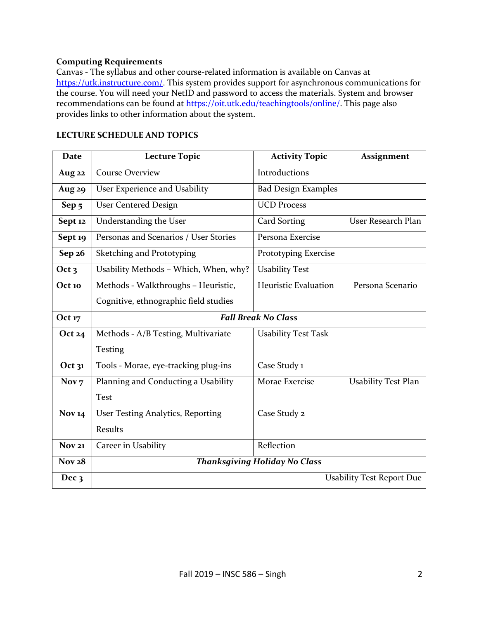### **Computing Requirements**

Canvas - The syllabus and other course-related information is available on Canvas at [https://utk.instructure.com/.](https://utk.instructure.com/) This system provides support for asynchronous communications for the course. You will need your NetID and password to access the materials. System and browser recommendations can be found at [https://oit.utk.edu/teachingtools/online/.](https://oit.utk.edu/teachingtools/online/) This page also provides links to other information about the system.

| <b>Date</b>      | <b>Lecture Topic</b>                     | <b>Activity Topic</b>       | Assignment                 |  |
|------------------|------------------------------------------|-----------------------------|----------------------------|--|
| Aug 22           | <b>Course Overview</b>                   | Introductions               |                            |  |
| <b>Aug 29</b>    | User Experience and Usability            | <b>Bad Design Examples</b>  |                            |  |
| Sep <sub>5</sub> | <b>User Centered Design</b>              | <b>UCD Process</b>          |                            |  |
| Sept 12          | Understanding the User                   | Card Sorting                | User Research Plan         |  |
| Sept 19          | Personas and Scenarios / User Stories    | Persona Exercise            |                            |  |
| Sep 26           | Sketching and Prototyping                | Prototyping Exercise        |                            |  |
| Oct <sub>3</sub> | Usability Methods - Which, When, why?    | <b>Usability Test</b>       |                            |  |
| Oct 10           | Methods - Walkthroughs - Heuristic,      | <b>Heuristic Evaluation</b> | Persona Scenario           |  |
|                  | Cognitive, ethnographic field studies    |                             |                            |  |
| Oct 17           | <b>Fall Break No Class</b>               |                             |                            |  |
| Oct $24$         | Methods - A/B Testing, Multivariate      | <b>Usability Test Task</b>  |                            |  |
|                  | Testing                                  |                             |                            |  |
| Oct $31$         | Tools - Morae, eye-tracking plug-ins     | Case Study 1                |                            |  |
| Nov <sub>7</sub> | Planning and Conducting a Usability      | Morae Exercise              | <b>Usability Test Plan</b> |  |
|                  | <b>Test</b>                              |                             |                            |  |
| <b>Nov 14</b>    | <b>User Testing Analytics, Reporting</b> | Case Study 2                |                            |  |
|                  | <b>Results</b>                           |                             |                            |  |
| <b>Nov 21</b>    | Career in Usability                      | Reflection                  |                            |  |
| <b>Nov 28</b>    | <b>Thanksgiving Holiday No Class</b>     |                             |                            |  |
| Dec <sub>3</sub> | <b>Usability Test Report Due</b>         |                             |                            |  |

#### **LECTURE SCHEDULE AND TOPICS**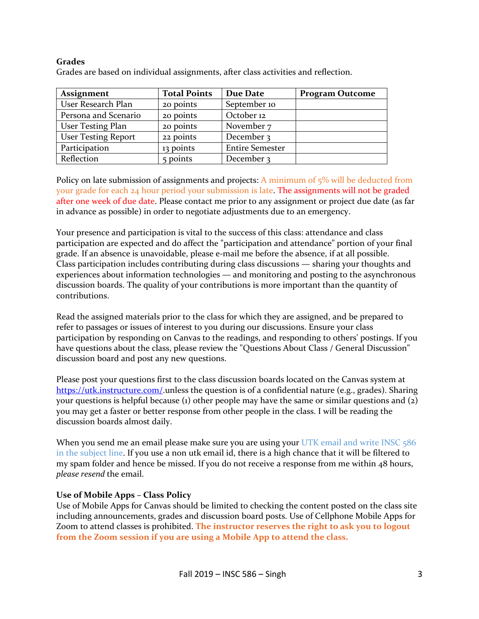### **Grades**

| <b>Assignment</b>          | <b>Total Points</b> | Due Date               | <b>Program Outcome</b> |
|----------------------------|---------------------|------------------------|------------------------|
| User Research Plan         | 20 points           | September 10           |                        |
| Persona and Scenario       | 20 points           | October 12             |                        |
| <b>User Testing Plan</b>   | 20 points           | November 7             |                        |
| <b>User Testing Report</b> | 22 points           | December 3             |                        |
| Participation              | 13 points           | <b>Entire Semester</b> |                        |
| Reflection                 | 5 points            | December 3             |                        |

Grades are based on individual assignments, after class activities and reflection.

Policy on late submission of assignments and projects: A minimum of 5% will be deducted from your grade for each 24 hour period your submission is late. The assignments will not be graded after one week of due date. Please contact me prior to any assignment or project due date (as far in advance as possible) in order to negotiate adjustments due to an emergency.

Your presence and participation is vital to the success of this class: attendance and class participation are expected and do affect the "participation and attendance" portion of your final grade. If an absence is unavoidable, please e-mail me before the absence, if at all possible. Class participation includes contributing during class discussions — sharing your thoughts and experiences about information technologies — and monitoring and posting to the asynchronous discussion boards. The quality of your contributions is more important than the quantity of contributions.

Read the assigned materials prior to the class for which they are assigned, and be prepared to refer to passages or issues of interest to you during our discussions. Ensure your class participation by responding on Canvas to the readings, and responding to others' postings. If you have questions about the class, please review the "Questions About Class / General Discussion" discussion board and post any new questions.

Please post your questions first to the class discussion boards located on the Canvas system at [https://utk.instructure.com/.](https://utk.instructure.com/)unless the question is of a confidential nature (e.g., grades). Sharing your questions is helpful because (1) other people may have the same or similar questions and  $(z)$ you may get a faster or better response from other people in the class. I will be reading the discussion boards almost daily.

When you send me an email please make sure you are using your UTK email and write INSC 586 in the subject line. If you use a non utk email id, there is a high chance that it will be filtered to my spam folder and hence be missed. If you do not receive a response from me within 48 hours, *please resend* the email.

### **Use of Mobile Apps – Class Policy**

Use of Mobile Apps for Canvas should be limited to checking the content posted on the class site including announcements, grades and discussion board posts. Use of Cellphone Mobile Apps for Zoom to attend classes is prohibited. **The instructor reserves the right to ask you to logout from the Zoom session if you are using a Mobile App to attend the class.**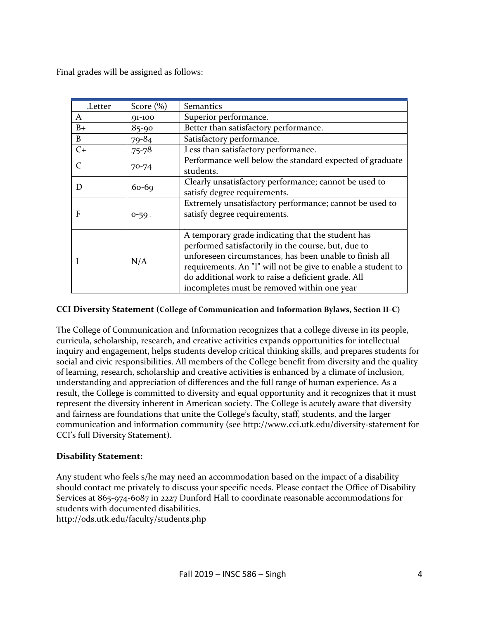Final grades will be assigned as follows:

| <b>Letter</b> | Score $(\%)$ | Semantics                                                                                                                                                                                                                                                                                                                                |
|---------------|--------------|------------------------------------------------------------------------------------------------------------------------------------------------------------------------------------------------------------------------------------------------------------------------------------------------------------------------------------------|
| A             | $91 - 100$   | Superior performance.                                                                                                                                                                                                                                                                                                                    |
| $B+$          | $85-90$      | Better than satisfactory performance.                                                                                                                                                                                                                                                                                                    |
| B             | $79 - 84$    | Satisfactory performance.                                                                                                                                                                                                                                                                                                                |
| $C+$          | $75 - 78$    | Less than satisfactory performance.                                                                                                                                                                                                                                                                                                      |
|               | $70 - 74$    | Performance well below the standard expected of graduate<br>students.                                                                                                                                                                                                                                                                    |
| D             | $60-69$      | Clearly unsatisfactory performance; cannot be used to<br>satisfy degree requirements.                                                                                                                                                                                                                                                    |
| F             | $0 - 59$     | Extremely unsatisfactory performance; cannot be used to<br>satisfy degree requirements.                                                                                                                                                                                                                                                  |
|               | N/A          | A temporary grade indicating that the student has<br>performed satisfactorily in the course, but, due to<br>unforeseen circumstances, has been unable to finish all<br>requirements. An "I" will not be give to enable a student to<br>do additional work to raise a deficient grade. All<br>incompletes must be removed within one year |

### **CCI Diversity Statement (College of Communication and Information Bylaws, Section II-C)**

The College of Communication and Information recognizes that a college diverse in its people, curricula, scholarship, research, and creative activities expands opportunities for intellectual inquiry and engagement, helps students develop critical thinking skills, and prepares students for social and civic responsibilities. All members of the College benefit from diversity and the quality of learning, research, scholarship and creative activities is enhanced by a climate of inclusion, understanding and appreciation of differences and the full range of human experience. As a result, the College is committed to diversity and equal opportunity and it recognizes that it must represent the diversity inherent in American society. The College is acutely aware that diversity and fairness are foundations that unite the College's faculty, staff, students, and the larger communication and information community (see http://www.cci.utk.edu/diversity-statement for CCI's full Diversity Statement).

### **Disability Statement:**

Any student who feels s/he may need an accommodation based on the impact of a disability should contact me privately to discuss your specific needs. Please contact the Office of Disability Services at 865-974-6087 in 2227 Dunford Hall to coordinate reasonable accommodations for students with documented disabilities. http://ods.utk.edu/faculty/students.php